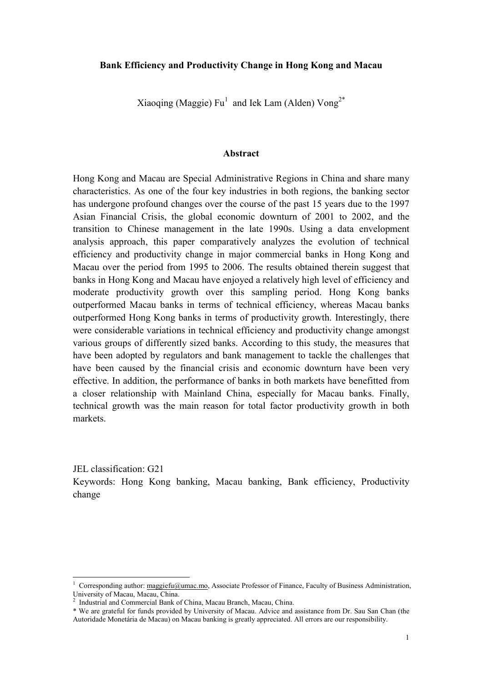## Bank Efficiency and Productivity Change in Hong Kong and Macau

Xiaoqing (Maggie)  $Fu<sup>1</sup>$  and Iek Lam (Alden)  $Vong<sup>2*</sup>$ 

### Abstract

Hong Kong and Macau are Special Administrative Regions in China and share many characteristics. As one of the four key industries in both regions, the banking sector has undergone profound changes over the course of the past 15 years due to the 1997 Asian Financial Crisis, the global economic downturn of 2001 to 2002, and the transition to Chinese management in the late 1990s. Using a data envelopment analysis approach, this paper comparatively analyzes the evolution of technical efficiency and productivity change in major commercial banks in Hong Kong and Macau over the period from 1995 to 2006. The results obtained therein suggest that banks in Hong Kong and Macau have enjoyed a relatively high level of efficiency and moderate productivity growth over this sampling period. Hong Kong banks outperformed Macau banks in terms of technical efficiency, whereas Macau banks outperformed Hong Kong banks in terms of productivity growth. Interestingly, there were considerable variations in technical efficiency and productivity change amongst various groups of differently sized banks. According to this study, the measures that have been adopted by regulators and bank management to tackle the challenges that have been caused by the financial crisis and economic downturn have been very effective. In addition, the performance of banks in both markets have benefitted from a closer relationship with Mainland China, especially for Macau banks. Finally, technical growth was the main reason for total factor productivity growth in both markets.

JEL classification: G21 Keywords: Hong Kong banking, Macau banking, Bank efficiency, Productivity change

<sup>&</sup>lt;sup>1</sup> Corresponding author: maggiefu@umac.mo, Associate Professor of Finance, Faculty of Business Administration, University of Macau, Macau, China. 2 Industrial and Commercial Bank of China, Macau Branch, Macau, China.

<sup>\*</sup> We are grateful for funds provided by University of Macau. Advice and assistance from Dr. Sau San Chan (the Autoridade Monetária de Macau) on Macau banking is greatly appreciated. All errors are our responsibility.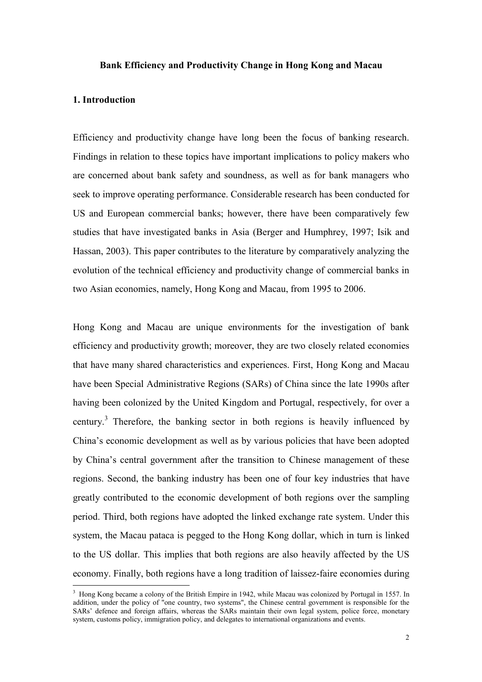### Bank Efficiency and Productivity Change in Hong Kong and Macau

### 1. Introduction

 $\overline{a}$ 

Efficiency and productivity change have long been the focus of banking research. Findings in relation to these topics have important implications to policy makers who are concerned about bank safety and soundness, as well as for bank managers who seek to improve operating performance. Considerable research has been conducted for US and European commercial banks; however, there have been comparatively few studies that have investigated banks in Asia (Berger and Humphrey, 1997; Isik and Hassan, 2003). This paper contributes to the literature by comparatively analyzing the evolution of the technical efficiency and productivity change of commercial banks in two Asian economies, namely, Hong Kong and Macau, from 1995 to 2006.

Hong Kong and Macau are unique environments for the investigation of bank efficiency and productivity growth; moreover, they are two closely related economies that have many shared characteristics and experiences. First, Hong Kong and Macau have been Special Administrative Regions (SARs) of China since the late 1990s after having been colonized by the United Kingdom and Portugal, respectively, for over a century.<sup>3</sup> Therefore, the banking sector in both regions is heavily influenced by China's economic development as well as by various policies that have been adopted by China's central government after the transition to Chinese management of these regions. Second, the banking industry has been one of four key industries that have greatly contributed to the economic development of both regions over the sampling period. Third, both regions have adopted the linked exchange rate system. Under this system, the Macau pataca is pegged to the Hong Kong dollar, which in turn is linked to the US dollar. This implies that both regions are also heavily affected by the US economy. Finally, both regions have a long tradition of laissez-faire economies during

<sup>&</sup>lt;sup>3</sup> Hong Kong became a colony of the British Empire in 1942, while Macau was colonized by Portugal in 1557. In addition, under the policy of "one country, two systems", the Chinese central government is responsible for the SARs' defence and foreign affairs, whereas the SARs maintain their own legal system, police force, monetary system, customs policy, immigration policy, and delegates to international organizations and events.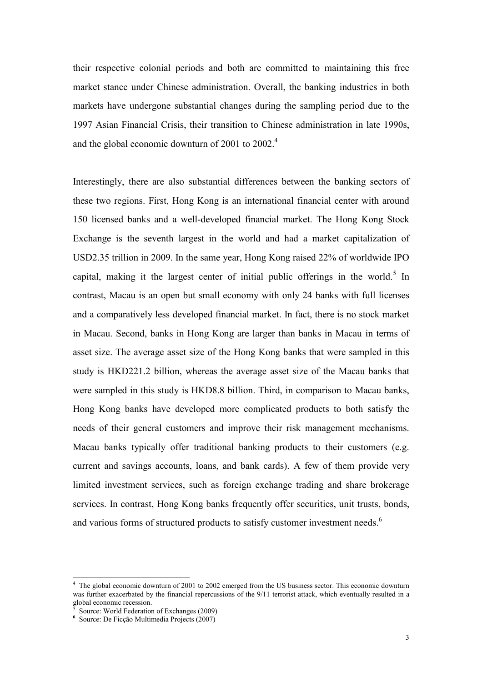their respective colonial periods and both are committed to maintaining this free market stance under Chinese administration. Overall, the banking industries in both markets have undergone substantial changes during the sampling period due to the 1997 Asian Financial Crisis, their transition to Chinese administration in late 1990s, and the global economic downturn of 2001 to 2002.<sup>4</sup>

Interestingly, there are also substantial differences between the banking sectors of these two regions. First, Hong Kong is an international financial center with around 150 licensed banks and a well-developed financial market. The Hong Kong Stock Exchange is the seventh largest in the world and had a market capitalization of USD2.35 trillion in 2009. In the same year, Hong Kong raised 22% of worldwide IPO capital, making it the largest center of initial public offerings in the world.<sup>5</sup> In contrast, Macau is an open but small economy with only 24 banks with full licenses and a comparatively less developed financial market. In fact, there is no stock market in Macau. Second, banks in Hong Kong are larger than banks in Macau in terms of asset size. The average asset size of the Hong Kong banks that were sampled in this study is HKD221.2 billion, whereas the average asset size of the Macau banks that were sampled in this study is HKD8.8 billion. Third, in comparison to Macau banks, Hong Kong banks have developed more complicated products to both satisfy the needs of their general customers and improve their risk management mechanisms. Macau banks typically offer traditional banking products to their customers (e.g. current and savings accounts, loans, and bank cards). A few of them provide very limited investment services, such as foreign exchange trading and share brokerage services. In contrast, Hong Kong banks frequently offer securities, unit trusts, bonds, and various forms of structured products to satisfy customer investment needs.<sup>6</sup>

<sup>&</sup>lt;sup>4</sup> The global economic downturn of 2001 to 2002 emerged from the US business sector. This economic downturn was further exacerbated by the financial repercussions of the 9/11 terrorist attack, which eventually resulted in a global economic recession.

<sup>5</sup> Source: World Federation of Exchanges (2009)

<sup>6</sup> Source: De Ficção Multimedia Projects (2007)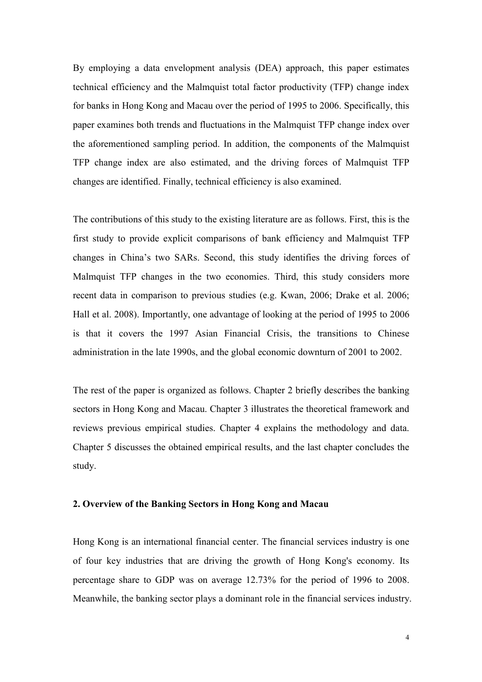By employing a data envelopment analysis (DEA) approach, this paper estimates technical efficiency and the Malmquist total factor productivity (TFP) change index for banks in Hong Kong and Macau over the period of 1995 to 2006. Specifically, this paper examines both trends and fluctuations in the Malmquist TFP change index over the aforementioned sampling period. In addition, the components of the Malmquist TFP change index are also estimated, and the driving forces of Malmquist TFP changes are identified. Finally, technical efficiency is also examined.

The contributions of this study to the existing literature are as follows. First, this is the first study to provide explicit comparisons of bank efficiency and Malmquist TFP changes in China's two SARs. Second, this study identifies the driving forces of Malmquist TFP changes in the two economies. Third, this study considers more recent data in comparison to previous studies (e.g. Kwan, 2006; Drake et al. 2006; Hall et al. 2008). Importantly, one advantage of looking at the period of 1995 to 2006 is that it covers the 1997 Asian Financial Crisis, the transitions to Chinese administration in the late 1990s, and the global economic downturn of 2001 to 2002.

The rest of the paper is organized as follows. Chapter 2 briefly describes the banking sectors in Hong Kong and Macau. Chapter 3 illustrates the theoretical framework and reviews previous empirical studies. Chapter 4 explains the methodology and data. Chapter 5 discusses the obtained empirical results, and the last chapter concludes the study.

### 2. Overview of the Banking Sectors in Hong Kong and Macau

Hong Kong is an international financial center. The financial services industry is one of four key industries that are driving the growth of Hong Kong's economy. Its percentage share to GDP was on average 12.73% for the period of 1996 to 2008. Meanwhile, the banking sector plays a dominant role in the financial services industry.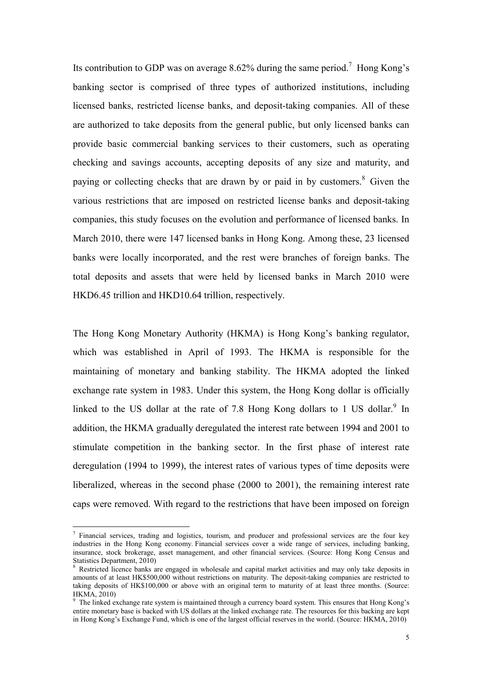Its contribution to GDP was on average 8.62% during the same period.<sup>7</sup> Hong Kong's banking sector is comprised of three types of authorized institutions, including licensed banks, restricted license banks, and deposit-taking companies. All of these are authorized to take deposits from the general public, but only licensed banks can provide basic commercial banking services to their customers, such as operating checking and savings accounts, accepting deposits of any size and maturity, and paying or collecting checks that are drawn by or paid in by customers.<sup>8</sup> Given the various restrictions that are imposed on restricted license banks and deposit-taking companies, this study focuses on the evolution and performance of licensed banks. In March 2010, there were 147 licensed banks in Hong Kong. Among these, 23 licensed banks were locally incorporated, and the rest were branches of foreign banks. The total deposits and assets that were held by licensed banks in March 2010 were HKD6.45 trillion and HKD10.64 trillion, respectively.

The Hong Kong Monetary Authority (HKMA) is Hong Kong's banking regulator, which was established in April of 1993. The HKMA is responsible for the maintaining of monetary and banking stability. The HKMA adopted the linked exchange rate system in 1983. Under this system, the Hong Kong dollar is officially linked to the US dollar at the rate of 7.8 Hong Kong dollars to 1 US dollar.<sup>9</sup> In addition, the HKMA gradually deregulated the interest rate between 1994 and 2001 to stimulate competition in the banking sector. In the first phase of interest rate deregulation (1994 to 1999), the interest rates of various types of time deposits were liberalized, whereas in the second phase (2000 to 2001), the remaining interest rate caps were removed. With regard to the restrictions that have been imposed on foreign

<sup>&</sup>lt;sup>7</sup> Financial services, trading and logistics, tourism, and producer and professional services are the four key industries in the Hong Kong economy. Financial services cover a wide range of services, including banking, insurance, stock brokerage, asset management, and other financial services. (Source: Hong Kong Census and Statistics Department, 2010)

<sup>&</sup>lt;sup>8</sup> Restricted licence banks are engaged in wholesale and capital market activities and may only take deposits in amounts of at least HK\$500,000 without restrictions on maturity. The deposit-taking companies are restricted to taking deposits of HK\$100,000 or above with an original term to maturity of at least three months. (Source: HKMA, 2010)

<sup>&</sup>lt;sup>9</sup> The linked exchange rate system is maintained through a currency board system. This ensures that Hong Kong's entire monetary base is backed with US dollars at the linked exchange rate. The resources for this backing are kept in Hong Kong's Exchange Fund, which is one of the largest official reserves in the world. (Source: HKMA, 2010)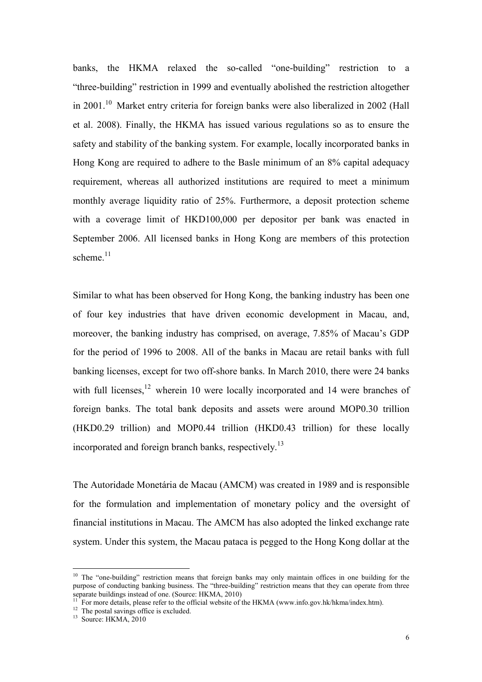banks, the HKMA relaxed the so-called "one-building" restriction to a "three-building" restriction in 1999 and eventually abolished the restriction altogether in 2001.<sup>10</sup> Market entry criteria for foreign banks were also liberalized in 2002 (Hall et al. 2008). Finally, the HKMA has issued various regulations so as to ensure the safety and stability of the banking system. For example, locally incorporated banks in Hong Kong are required to adhere to the Basle minimum of an 8% capital adequacy requirement, whereas all authorized institutions are required to meet a minimum monthly average liquidity ratio of 25%. Furthermore, a deposit protection scheme with a coverage limit of HKD100,000 per depositor per bank was enacted in September 2006. All licensed banks in Hong Kong are members of this protection scheme. $11$ 

Similar to what has been observed for Hong Kong, the banking industry has been one of four key industries that have driven economic development in Macau, and, moreover, the banking industry has comprised, on average, 7.85% of Macau's GDP for the period of 1996 to 2008. All of the banks in Macau are retail banks with full banking licenses, except for two off-shore banks. In March 2010, there were 24 banks with full licenses, $12$  wherein 10 were locally incorporated and 14 were branches of foreign banks. The total bank deposits and assets were around MOP0.30 trillion (HKD0.29 trillion) and MOP0.44 trillion (HKD0.43 trillion) for these locally incorporated and foreign branch banks, respectively.<sup>13</sup>

The Autoridade Monetária de Macau (AMCM) was created in 1989 and is responsible for the formulation and implementation of monetary policy and the oversight of financial institutions in Macau. The AMCM has also adopted the linked exchange rate system. Under this system, the Macau pataca is pegged to the Hong Kong dollar at the

<sup>&</sup>lt;sup>10</sup> The "one-building" restriction means that foreign banks may only maintain offices in one building for the purpose of conducting banking business. The "three-building" restriction means that they can operate from three separate buildings instead of one. (Source: HKMA, 2010)

<sup>11</sup> For more details, please refer to the official website of the HKMA (www.info.gov.hk/hkma/index.htm).

<sup>&</sup>lt;sup>12</sup> The postal savings office is excluded.

 $13$  Source: HKMA, 2010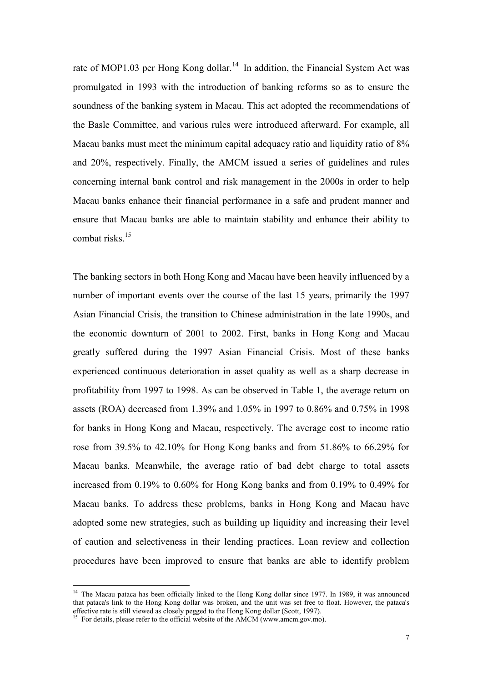rate of MOP1.03 per Hong Kong dollar.<sup>14</sup> In addition, the Financial System Act was promulgated in 1993 with the introduction of banking reforms so as to ensure the soundness of the banking system in Macau. This act adopted the recommendations of the Basle Committee, and various rules were introduced afterward. For example, all Macau banks must meet the minimum capital adequacy ratio and liquidity ratio of 8% and 20%, respectively. Finally, the AMCM issued a series of guidelines and rules concerning internal bank control and risk management in the 2000s in order to help Macau banks enhance their financial performance in a safe and prudent manner and ensure that Macau banks are able to maintain stability and enhance their ability to combat risks.<sup>15</sup>

The banking sectors in both Hong Kong and Macau have been heavily influenced by a number of important events over the course of the last 15 years, primarily the 1997 Asian Financial Crisis, the transition to Chinese administration in the late 1990s, and the economic downturn of 2001 to 2002. First, banks in Hong Kong and Macau greatly suffered during the 1997 Asian Financial Crisis. Most of these banks experienced continuous deterioration in asset quality as well as a sharp decrease in profitability from 1997 to 1998. As can be observed in Table 1, the average return on assets (ROA) decreased from 1.39% and 1.05% in 1997 to 0.86% and 0.75% in 1998 for banks in Hong Kong and Macau, respectively. The average cost to income ratio rose from 39.5% to 42.10% for Hong Kong banks and from 51.86% to 66.29% for Macau banks. Meanwhile, the average ratio of bad debt charge to total assets increased from 0.19% to 0.60% for Hong Kong banks and from 0.19% to 0.49% for Macau banks. To address these problems, banks in Hong Kong and Macau have adopted some new strategies, such as building up liquidity and increasing their level of caution and selectiveness in their lending practices. Loan review and collection procedures have been improved to ensure that banks are able to identify problem

<sup>&</sup>lt;sup>14</sup> The Macau pataca has been officially linked to the Hong Kong dollar since 1977. In 1989, it was announced that pataca's link to the Hong Kong dollar was broken, and the unit was set free to float. However, the pataca's effective rate is still viewed as closely pegged to the Hong Kong dollar (Scott, 1997).

<sup>&</sup>lt;sup>15</sup> For details, please refer to the official website of the AMCM (www.amcm.gov.mo).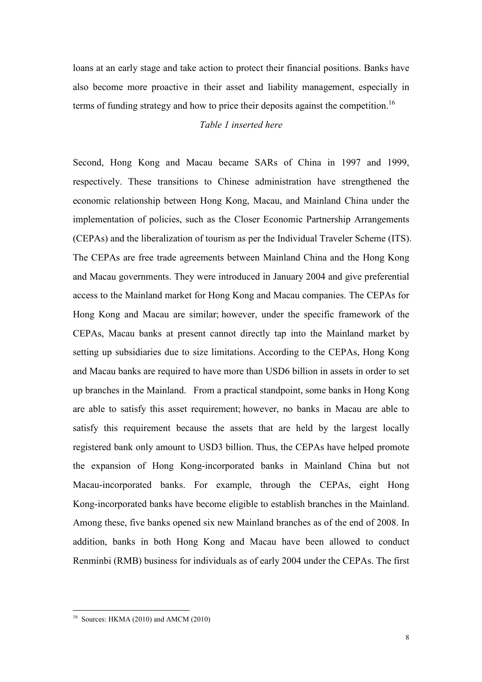loans at an early stage and take action to protect their financial positions. Banks have also become more proactive in their asset and liability management, especially in terms of funding strategy and how to price their deposits against the competition.<sup>16</sup>

## Table 1 inserted here

Second, Hong Kong and Macau became SARs of China in 1997 and 1999, respectively. These transitions to Chinese administration have strengthened the economic relationship between Hong Kong, Macau, and Mainland China under the implementation of policies, such as the Closer Economic Partnership Arrangements (CEPAs) and the liberalization of tourism as per the Individual Traveler Scheme (ITS). The CEPAs are free trade agreements between Mainland China and the Hong Kong and Macau governments. They were introduced in January 2004 and give preferential access to the Mainland market for Hong Kong and Macau companies. The CEPAs for Hong Kong and Macau are similar; however, under the specific framework of the CEPAs, Macau banks at present cannot directly tap into the Mainland market by setting up subsidiaries due to size limitations. According to the CEPAs, Hong Kong and Macau banks are required to have more than USD6 billion in assets in order to set up branches in the Mainland. From a practical standpoint, some banks in Hong Kong are able to satisfy this asset requirement; however, no banks in Macau are able to satisfy this requirement because the assets that are held by the largest locally registered bank only amount to USD3 billion. Thus, the CEPAs have helped promote the expansion of Hong Kong-incorporated banks in Mainland China but not Macau-incorporated banks. For example, through the CEPAs, eight Hong Kong-incorporated banks have become eligible to establish branches in the Mainland. Among these, five banks opened six new Mainland branches as of the end of 2008. In addition, banks in both Hong Kong and Macau have been allowed to conduct Renminbi (RMB) business for individuals as of early 2004 under the CEPAs. The first

 $16$  Sources: HKMA (2010) and AMCM (2010)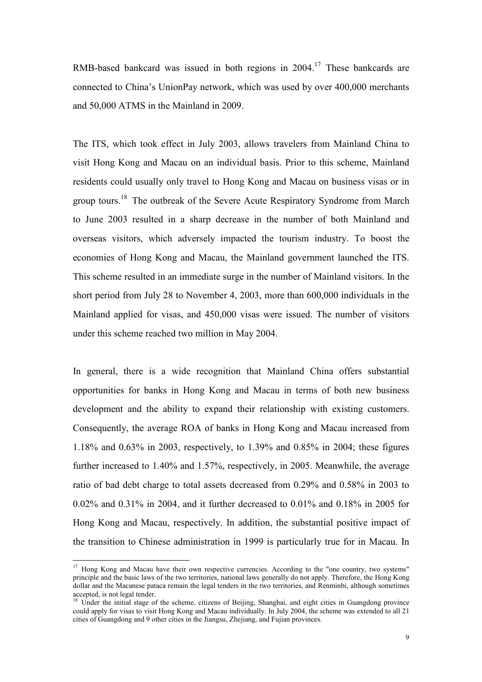RMB-based bankcard was issued in both regions in 2004.<sup>17</sup> These bankcards are connected to China's UnionPay network, which was used by over 400,000 merchants and 50,000 ATMS in the Mainland in 2009.

The ITS, which took effect in July 2003, allows travelers from Mainland China to visit Hong Kong and Macau on an individual basis. Prior to this scheme, Mainland residents could usually only travel to Hong Kong and Macau on business visas or in group tours.<sup>18</sup> The outbreak of the Severe Acute Respiratory Syndrome from March to June 2003 resulted in a sharp decrease in the number of both Mainland and overseas visitors, which adversely impacted the tourism industry. To boost the economies of Hong Kong and Macau, the Mainland government launched the ITS. This scheme resulted in an immediate surge in the number of Mainland visitors. In the short period from July 28 to November 4, 2003, more than 600,000 individuals in the Mainland applied for visas, and 450,000 visas were issued. The number of visitors under this scheme reached two million in May 2004.

In general, there is a wide recognition that Mainland China offers substantial opportunities for banks in Hong Kong and Macau in terms of both new business development and the ability to expand their relationship with existing customers. Consequently, the average ROA of banks in Hong Kong and Macau increased from 1.18% and 0.63% in 2003, respectively, to 1.39% and 0.85% in 2004; these figures further increased to 1.40% and 1.57%, respectively, in 2005. Meanwhile, the average ratio of bad debt charge to total assets decreased from 0.29% and 0.58% in 2003 to 0.02% and 0.31% in 2004, and it further decreased to 0.01% and 0.18% in 2005 for Hong Kong and Macau, respectively. In addition, the substantial positive impact of the transition to Chinese administration in 1999 is particularly true for in Macau. In

<sup>&</sup>lt;sup>17</sup> Hong Kong and Macau have their own respective currencies. According to the "one country, two systems" principle and the basic laws of the two territories, national laws generally do not apply. Therefore, the Hong Kong dollar and the Macanese pataca remain the legal tenders in the two territories, and Renminbi, although sometimes accepted, is not legal tender.

<sup>&</sup>lt;sup>18</sup> Under the initial stage of the scheme, citizens of Beijing, Shanghai, and eight cities in Guangdong province could apply for visas to visit Hong Kong and Macau individually. In July 2004, the scheme was extended to all 21 cities of Guangdong and 9 other cities in the Jiangsu, Zhejiang, and Fujian provinces.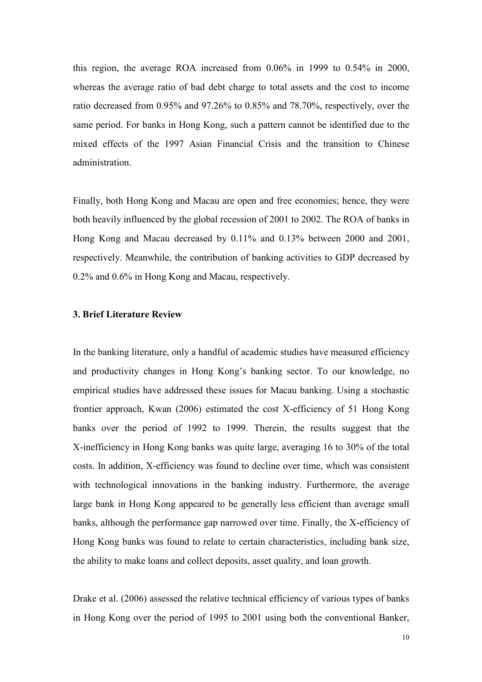this region, the average ROA increased from 0.06% in 1999 to 0.54% in 2000, whereas the average ratio of bad debt charge to total assets and the cost to income ratio decreased from 0.95% and 97.26% to 0.85% and 78.70%, respectively, over the same period. For banks in Hong Kong, such a pattern cannot be identified due to the mixed effects of the 1997 Asian Financial Crisis and the transition to Chinese administration.

Finally, both Hong Kong and Macau are open and free economies; hence, they were both heavily influenced by the global recession of 2001 to 2002. The ROA of banks in Hong Kong and Macau decreased by 0.11% and 0.13% between 2000 and 2001, respectively. Meanwhile, the contribution of banking activities to GDP decreased by 0.2% and 0.6% in Hong Kong and Macau, respectively.

## 3. Brief Literature Review

In the banking literature, only a handful of academic studies have measured efficiency and productivity changes in Hong Kong's banking sector. To our knowledge, no empirical studies have addressed these issues for Macau banking. Using a stochastic frontier approach, Kwan (2006) estimated the cost X-efficiency of 51 Hong Kong banks over the period of 1992 to 1999. Therein, the results suggest that the X-inefficiency in Hong Kong banks was quite large, averaging 16 to 30% of the total costs. In addition, X-efficiency was found to decline over time, which was consistent with technological innovations in the banking industry. Furthermore, the average large bank in Hong Kong appeared to be generally less efficient than average small banks, although the performance gap narrowed over time. Finally, the X-efficiency of Hong Kong banks was found to relate to certain characteristics, including bank size, the ability to make loans and collect deposits, asset quality, and loan growth.

Drake et al. (2006) assessed the relative technical efficiency of various types of banks in Hong Kong over the period of 1995 to 2001 using both the conventional Banker,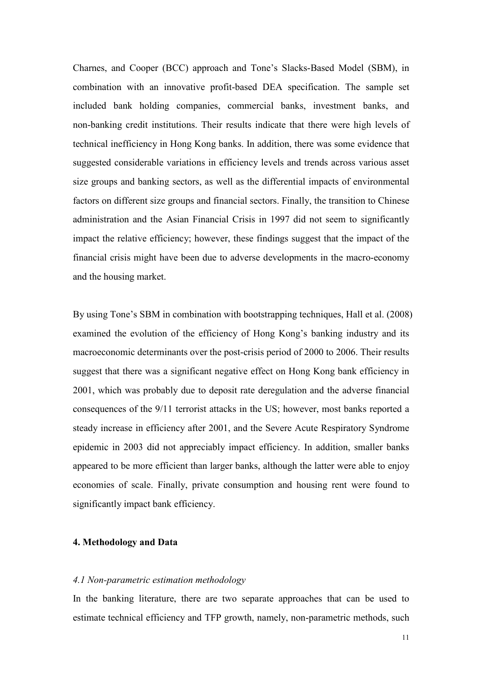Charnes, and Cooper (BCC) approach and Tone's Slacks-Based Model (SBM), in combination with an innovative profit-based DEA specification. The sample set included bank holding companies, commercial banks, investment banks, and non-banking credit institutions. Their results indicate that there were high levels of technical inefficiency in Hong Kong banks. In addition, there was some evidence that suggested considerable variations in efficiency levels and trends across various asset size groups and banking sectors, as well as the differential impacts of environmental factors on different size groups and financial sectors. Finally, the transition to Chinese administration and the Asian Financial Crisis in 1997 did not seem to significantly impact the relative efficiency; however, these findings suggest that the impact of the financial crisis might have been due to adverse developments in the macro-economy and the housing market.

By using Tone's SBM in combination with bootstrapping techniques, Hall et al. (2008) examined the evolution of the efficiency of Hong Kong's banking industry and its macroeconomic determinants over the post-crisis period of 2000 to 2006. Their results suggest that there was a significant negative effect on Hong Kong bank efficiency in 2001, which was probably due to deposit rate deregulation and the adverse financial consequences of the 9/11 terrorist attacks in the US; however, most banks reported a steady increase in efficiency after 2001, and the Severe Acute Respiratory Syndrome epidemic in 2003 did not appreciably impact efficiency. In addition, smaller banks appeared to be more efficient than larger banks, although the latter were able to enjoy economies of scale. Finally, private consumption and housing rent were found to significantly impact bank efficiency.

## 4. Methodology and Data

### 4.1 Non-parametric estimation methodology

In the banking literature, there are two separate approaches that can be used to estimate technical efficiency and TFP growth, namely, non-parametric methods, such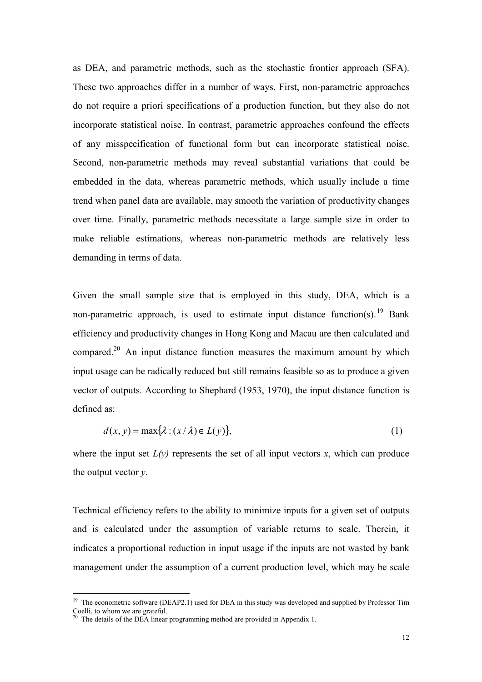as DEA, and parametric methods, such as the stochastic frontier approach (SFA). These two approaches differ in a number of ways. First, non-parametric approaches do not require a priori specifications of a production function, but they also do not incorporate statistical noise. In contrast, parametric approaches confound the effects of any misspecification of functional form but can incorporate statistical noise. Second, non-parametric methods may reveal substantial variations that could be embedded in the data, whereas parametric methods, which usually include a time trend when panel data are available, may smooth the variation of productivity changes over time. Finally, parametric methods necessitate a large sample size in order to make reliable estimations, whereas non-parametric methods are relatively less demanding in terms of data.

Given the small sample size that is employed in this study, DEA, which is a non-parametric approach, is used to estimate input distance function(s).<sup>19</sup> Bank efficiency and productivity changes in Hong Kong and Macau are then calculated and compared.<sup>20</sup> An input distance function measures the maximum amount by which input usage can be radically reduced but still remains feasible so as to produce a given vector of outputs. According to Shephard (1953, 1970), the input distance function is defined as:

$$
d(x, y) = \max\{\lambda : (x/\lambda) \in L(y)\},\tag{1}
$$

where the input set  $L(y)$  represents the set of all input vectors x, which can produce the output vector  $y$ .

Technical efficiency refers to the ability to minimize inputs for a given set of outputs and is calculated under the assumption of variable returns to scale. Therein, it indicates a proportional reduction in input usage if the inputs are not wasted by bank management under the assumption of a current production level, which may be scale

 $19$  The econometric software (DEAP2.1) used for DEA in this study was developed and supplied by Professor Tim Coelli, to whom we are grateful.

<sup>&</sup>lt;sup>20</sup> The details of the DEA linear programming method are provided in Appendix 1.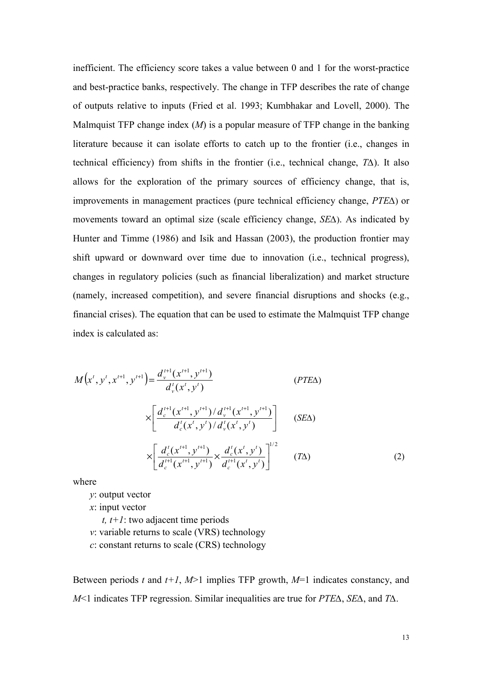inefficient. The efficiency score takes a value between 0 and 1 for the worst-practice and best-practice banks, respectively. The change in TFP describes the rate of change of outputs relative to inputs (Fried et al. 1993; Kumbhakar and Lovell, 2000). The Malmquist TFP change index  $(M)$  is a popular measure of TFP change in the banking literature because it can isolate efforts to catch up to the frontier (i.e., changes in technical efficiency) from shifts in the frontier (i.e., technical change, T∆). It also allows for the exploration of the primary sources of efficiency change, that is, improvements in management practices (pure technical efficiency change, PTE∆) or movements toward an optimal size (scale efficiency change, SE∆). As indicated by Hunter and Timme (1986) and Isik and Hassan (2003), the production frontier may shift upward or downward over time due to innovation (i.e., technical progress), changes in regulatory policies (such as financial liberalization) and market structure (namely, increased competition), and severe financial disruptions and shocks (e.g., financial crises). The equation that can be used to estimate the Malmquist TFP change index is calculated as:

$$
M(x^t, y^t, x^{t+1}, y^{t+1}) = \frac{d_{y}^{t+1}(x^{t+1}, y^{t+1})}{d_{y}^{t}(x^t, y^t)}
$$
 (PTEA)

$$
\times \left[ \frac{d_c^{t+1}(x^{t+1}, y^{t+1})/d_v^{t+1}(x^{t+1}, y^{t+1})}{d_c^t(x^t, y^t)/d_v^t(x^t, y^t)} \right] \quad (SE\Delta)
$$
  

$$
\times \left[ \frac{d_c^t(x^{t+1}, y^{t+1})}{d_c^{t+1}(x^{t+1}, y^{t+1})} \times \frac{d_c^t(x^t, y^t)}{d_c^{t+1}(x^t, y^t)} \right]^{1/2} \quad (T\Delta)
$$
 (2)

where

y: output vector

x: input vector

t,  $t+1$ : two adjacent time periods

v: variable returns to scale (VRS) technology

c: constant returns to scale (CRS) technology

Between periods t and  $t+1$ ,  $M>1$  implies TFP growth,  $M=1$  indicates constancy, and M<1 indicates TFP regression. Similar inequalities are true for PTE∆, SE∆, and T∆.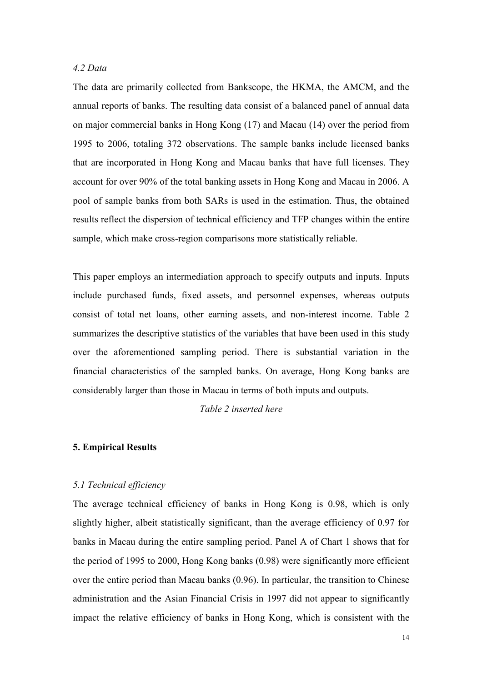# 4.2 Data

The data are primarily collected from Bankscope, the HKMA, the AMCM, and the annual reports of banks. The resulting data consist of a balanced panel of annual data on major commercial banks in Hong Kong (17) and Macau (14) over the period from 1995 to 2006, totaling 372 observations. The sample banks include licensed banks that are incorporated in Hong Kong and Macau banks that have full licenses. They account for over 90% of the total banking assets in Hong Kong and Macau in 2006. A pool of sample banks from both SARs is used in the estimation. Thus, the obtained results reflect the dispersion of technical efficiency and TFP changes within the entire sample, which make cross-region comparisons more statistically reliable.

This paper employs an intermediation approach to specify outputs and inputs. Inputs include purchased funds, fixed assets, and personnel expenses, whereas outputs consist of total net loans, other earning assets, and non-interest income. Table 2 summarizes the descriptive statistics of the variables that have been used in this study over the aforementioned sampling period. There is substantial variation in the financial characteristics of the sampled banks. On average, Hong Kong banks are considerably larger than those in Macau in terms of both inputs and outputs.

Table 2 inserted here

### 5. Empirical Results

### 5.1 Technical efficiency

The average technical efficiency of banks in Hong Kong is 0.98, which is only slightly higher, albeit statistically significant, than the average efficiency of 0.97 for banks in Macau during the entire sampling period. Panel A of Chart 1 shows that for the period of 1995 to 2000, Hong Kong banks (0.98) were significantly more efficient over the entire period than Macau banks (0.96). In particular, the transition to Chinese administration and the Asian Financial Crisis in 1997 did not appear to significantly impact the relative efficiency of banks in Hong Kong, which is consistent with the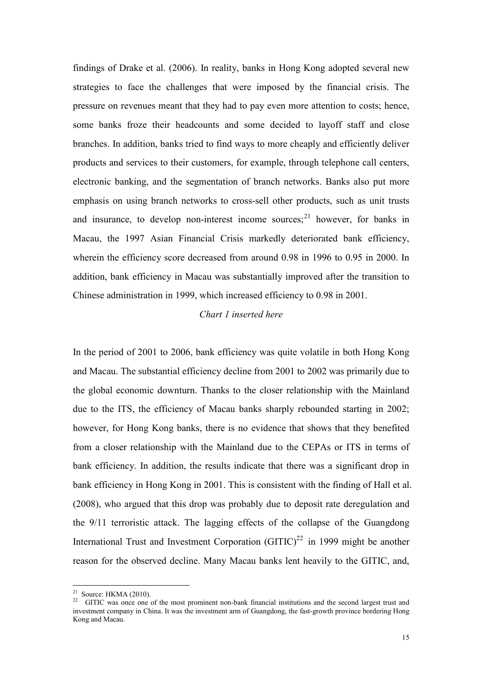findings of Drake et al. (2006). In reality, banks in Hong Kong adopted several new strategies to face the challenges that were imposed by the financial crisis. The pressure on revenues meant that they had to pay even more attention to costs; hence, some banks froze their headcounts and some decided to layoff staff and close branches. In addition, banks tried to find ways to more cheaply and efficiently deliver products and services to their customers, for example, through telephone call centers, electronic banking, and the segmentation of branch networks. Banks also put more emphasis on using branch networks to cross-sell other products, such as unit trusts and insurance, to develop non-interest income sources;  $2^{1}$  however, for banks in Macau, the 1997 Asian Financial Crisis markedly deteriorated bank efficiency, wherein the efficiency score decreased from around 0.98 in 1996 to 0.95 in 2000. In addition, bank efficiency in Macau was substantially improved after the transition to Chinese administration in 1999, which increased efficiency to 0.98 in 2001.

# Chart 1 inserted here

In the period of 2001 to 2006, bank efficiency was quite volatile in both Hong Kong and Macau. The substantial efficiency decline from 2001 to 2002 was primarily due to the global economic downturn. Thanks to the closer relationship with the Mainland due to the ITS, the efficiency of Macau banks sharply rebounded starting in 2002; however, for Hong Kong banks, there is no evidence that shows that they benefited from a closer relationship with the Mainland due to the CEPAs or ITS in terms of bank efficiency. In addition, the results indicate that there was a significant drop in bank efficiency in Hong Kong in 2001. This is consistent with the finding of Hall et al. (2008), who argued that this drop was probably due to deposit rate deregulation and the 9/11 terroristic attack. The lagging effects of the collapse of the Guangdong International Trust and Investment Corporation  $(GITIC)^{22}$  in 1999 might be another reason for the observed decline. Many Macau banks lent heavily to the GITIC, and,

<sup>&</sup>lt;sup>21</sup> Source: HKMA (2010).

<sup>&</sup>lt;sup>22</sup> GITIC was once one of the most prominent non-bank financial institutions and the second largest trust and investment company in China. It was the investment arm of Guangdong, the fast-growth province bordering Hong Kong and Macau.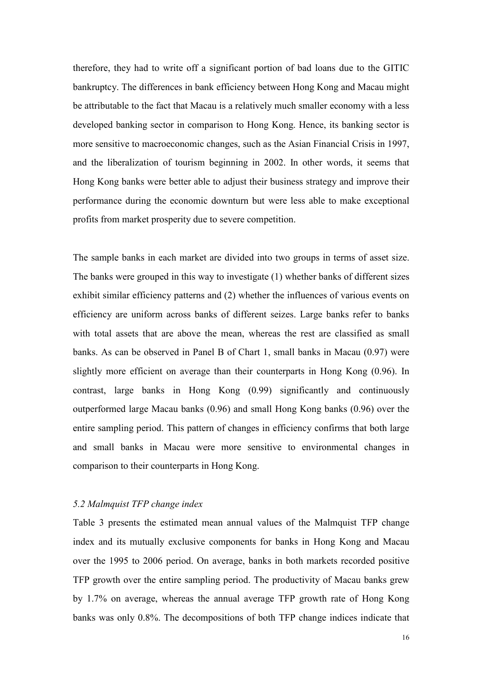therefore, they had to write off a significant portion of bad loans due to the GITIC bankruptcy. The differences in bank efficiency between Hong Kong and Macau might be attributable to the fact that Macau is a relatively much smaller economy with a less developed banking sector in comparison to Hong Kong. Hence, its banking sector is more sensitive to macroeconomic changes, such as the Asian Financial Crisis in 1997, and the liberalization of tourism beginning in 2002. In other words, it seems that Hong Kong banks were better able to adjust their business strategy and improve their performance during the economic downturn but were less able to make exceptional profits from market prosperity due to severe competition.

The sample banks in each market are divided into two groups in terms of asset size. The banks were grouped in this way to investigate (1) whether banks of different sizes exhibit similar efficiency patterns and (2) whether the influences of various events on efficiency are uniform across banks of different seizes. Large banks refer to banks with total assets that are above the mean, whereas the rest are classified as small banks. As can be observed in Panel B of Chart 1, small banks in Macau (0.97) were slightly more efficient on average than their counterparts in Hong Kong (0.96). In contrast, large banks in Hong Kong (0.99) significantly and continuously outperformed large Macau banks (0.96) and small Hong Kong banks (0.96) over the entire sampling period. This pattern of changes in efficiency confirms that both large and small banks in Macau were more sensitive to environmental changes in comparison to their counterparts in Hong Kong.

### 5.2 Malmquist TFP change index

Table 3 presents the estimated mean annual values of the Malmquist TFP change index and its mutually exclusive components for banks in Hong Kong and Macau over the 1995 to 2006 period. On average, banks in both markets recorded positive TFP growth over the entire sampling period. The productivity of Macau banks grew by 1.7% on average, whereas the annual average TFP growth rate of Hong Kong banks was only 0.8%. The decompositions of both TFP change indices indicate that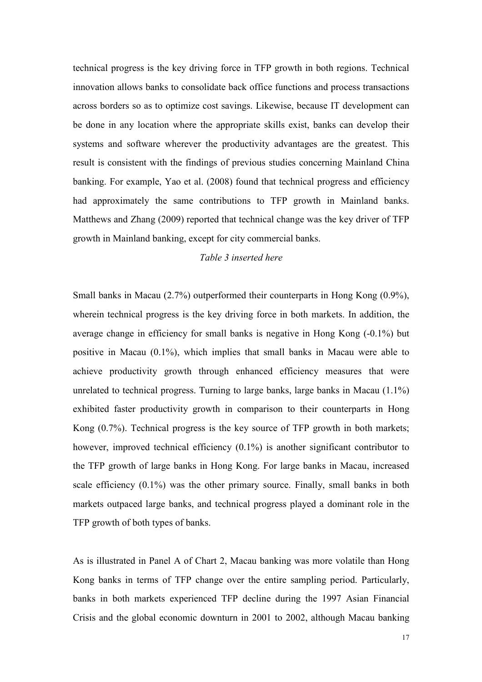technical progress is the key driving force in TFP growth in both regions. Technical innovation allows banks to consolidate back office functions and process transactions across borders so as to optimize cost savings. Likewise, because IT development can be done in any location where the appropriate skills exist, banks can develop their systems and software wherever the productivity advantages are the greatest. This result is consistent with the findings of previous studies concerning Mainland China banking. For example, Yao et al. (2008) found that technical progress and efficiency had approximately the same contributions to TFP growth in Mainland banks. Matthews and Zhang (2009) reported that technical change was the key driver of TFP growth in Mainland banking, except for city commercial banks.

### Table 3 inserted here

Small banks in Macau (2.7%) outperformed their counterparts in Hong Kong (0.9%), wherein technical progress is the key driving force in both markets. In addition, the average change in efficiency for small banks is negative in Hong Kong (-0.1%) but positive in Macau (0.1%), which implies that small banks in Macau were able to achieve productivity growth through enhanced efficiency measures that were unrelated to technical progress. Turning to large banks, large banks in Macau (1.1%) exhibited faster productivity growth in comparison to their counterparts in Hong Kong (0.7%). Technical progress is the key source of TFP growth in both markets; however, improved technical efficiency  $(0.1\%)$  is another significant contributor to the TFP growth of large banks in Hong Kong. For large banks in Macau, increased scale efficiency (0.1%) was the other primary source. Finally, small banks in both markets outpaced large banks, and technical progress played a dominant role in the TFP growth of both types of banks.

As is illustrated in Panel A of Chart 2, Macau banking was more volatile than Hong Kong banks in terms of TFP change over the entire sampling period. Particularly, banks in both markets experienced TFP decline during the 1997 Asian Financial Crisis and the global economic downturn in 2001 to 2002, although Macau banking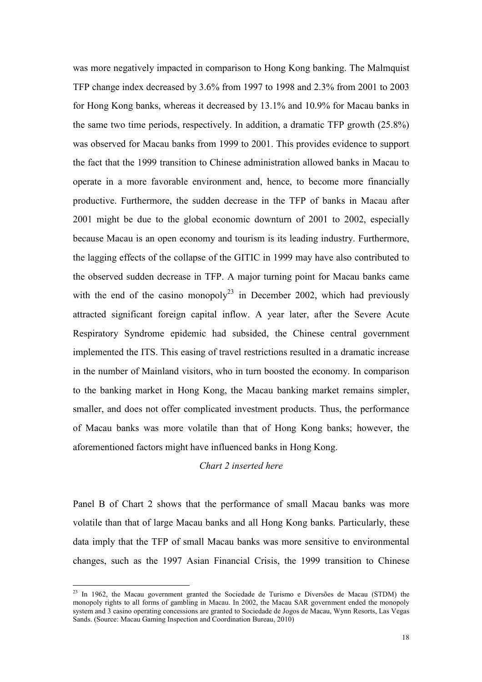was more negatively impacted in comparison to Hong Kong banking. The Malmquist TFP change index decreased by 3.6% from 1997 to 1998 and 2.3% from 2001 to 2003 for Hong Kong banks, whereas it decreased by 13.1% and 10.9% for Macau banks in the same two time periods, respectively. In addition, a dramatic TFP growth (25.8%) was observed for Macau banks from 1999 to 2001. This provides evidence to support the fact that the 1999 transition to Chinese administration allowed banks in Macau to operate in a more favorable environment and, hence, to become more financially productive. Furthermore, the sudden decrease in the TFP of banks in Macau after 2001 might be due to the global economic downturn of 2001 to 2002, especially because Macau is an open economy and tourism is its leading industry. Furthermore, the lagging effects of the collapse of the GITIC in 1999 may have also contributed to the observed sudden decrease in TFP. A major turning point for Macau banks came with the end of the casino monopoly<sup>23</sup> in December 2002, which had previously attracted significant foreign capital inflow. A year later, after the Severe Acute Respiratory Syndrome epidemic had subsided, the Chinese central government implemented the ITS. This easing of travel restrictions resulted in a dramatic increase in the number of Mainland visitors, who in turn boosted the economy. In comparison to the banking market in Hong Kong, the Macau banking market remains simpler, smaller, and does not offer complicated investment products. Thus, the performance of Macau banks was more volatile than that of Hong Kong banks; however, the aforementioned factors might have influenced banks in Hong Kong.

### Chart 2 inserted here

Panel B of Chart 2 shows that the performance of small Macau banks was more volatile than that of large Macau banks and all Hong Kong banks. Particularly, these data imply that the TFP of small Macau banks was more sensitive to environmental changes, such as the 1997 Asian Financial Crisis, the 1999 transition to Chinese

 $^{23}$  In 1962, the Macau government granted the Sociedade de Turismo e Diversões de Macau (STDM) the monopoly rights to all forms of gambling in Macau. In 2002, the Macau SAR government ended the monopoly system and 3 casino operating concessions are granted to Sociedade de Jogos de Macau, Wynn Resorts, Las Vegas Sands. (Source: Macau Gaming Inspection and Coordination Bureau, 2010)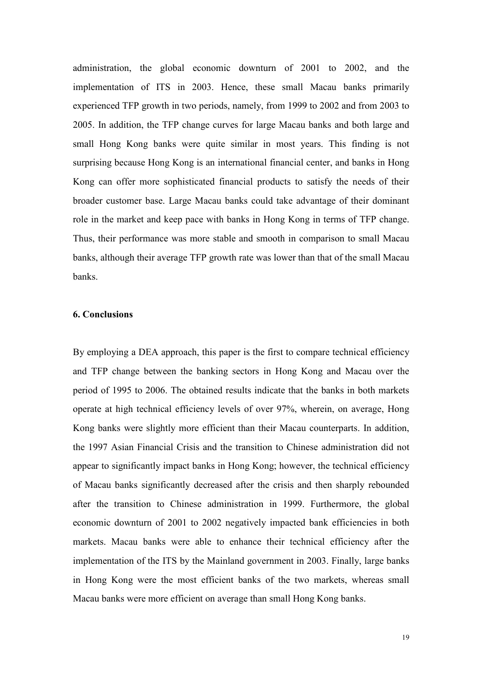administration, the global economic downturn of 2001 to 2002, and the implementation of ITS in 2003. Hence, these small Macau banks primarily experienced TFP growth in two periods, namely, from 1999 to 2002 and from 2003 to 2005. In addition, the TFP change curves for large Macau banks and both large and small Hong Kong banks were quite similar in most years. This finding is not surprising because Hong Kong is an international financial center, and banks in Hong Kong can offer more sophisticated financial products to satisfy the needs of their broader customer base. Large Macau banks could take advantage of their dominant role in the market and keep pace with banks in Hong Kong in terms of TFP change. Thus, their performance was more stable and smooth in comparison to small Macau banks, although their average TFP growth rate was lower than that of the small Macau banks.

# 6. Conclusions

By employing a DEA approach, this paper is the first to compare technical efficiency and TFP change between the banking sectors in Hong Kong and Macau over the period of 1995 to 2006. The obtained results indicate that the banks in both markets operate at high technical efficiency levels of over 97%, wherein, on average, Hong Kong banks were slightly more efficient than their Macau counterparts. In addition, the 1997 Asian Financial Crisis and the transition to Chinese administration did not appear to significantly impact banks in Hong Kong; however, the technical efficiency of Macau banks significantly decreased after the crisis and then sharply rebounded after the transition to Chinese administration in 1999. Furthermore, the global economic downturn of 2001 to 2002 negatively impacted bank efficiencies in both markets. Macau banks were able to enhance their technical efficiency after the implementation of the ITS by the Mainland government in 2003. Finally, large banks in Hong Kong were the most efficient banks of the two markets, whereas small Macau banks were more efficient on average than small Hong Kong banks.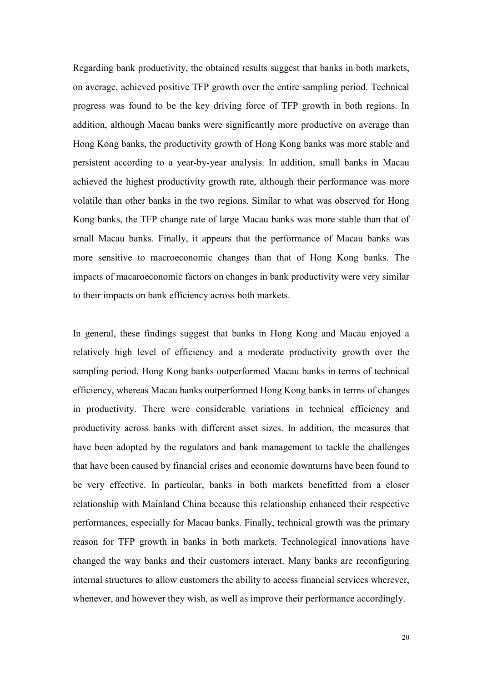Regarding bank productivity, the obtained results suggest that banks in both markets, on average, achieved positive TFP growth over the entire sampling period. Technical progress was found to be the key driving force of TFP growth in both regions. In addition, although Macau banks were significantly more productive on average than Hong Kong banks, the productivity growth of Hong Kong banks was more stable and persistent according to a year-by-year analysis. In addition, small banks in Macau achieved the highest productivity growth rate, although their performance was more volatile than other banks in the two regions. Similar to what was observed for Hong Kong banks, the TFP change rate of large Macau banks was more stable than that of small Macau banks. Finally, it appears that the performance of Macau banks was more sensitive to macroeconomic changes than that of Hong Kong banks. The impacts of macaroeconomic factors on changes in bank productivity were very similar to their impacts on bank efficiency across both markets.

In general, these findings suggest that banks in Hong Kong and Macau enjoyed a relatively high level of efficiency and a moderate productivity growth over the sampling period. Hong Kong banks outperformed Macau banks in terms of technical efficiency, whereas Macau banks outperformed Hong Kong banks in terms of changes in productivity. There were considerable variations in technical efficiency and productivity across banks with different asset sizes. In addition, the measures that have been adopted by the regulators and bank management to tackle the challenges that have been caused by financial crises and economic downturns have been found to be very effective. In particular, banks in both markets benefitted from a closer relationship with Mainland China because this relationship enhanced their respective performances, especially for Macau banks. Finally, technical growth was the primary reason for TFP growth in banks in both markets. Technological innovations have changed the way banks and their customers interact. Many banks are reconfiguring internal structures to allow customers the ability to access financial services wherever, whenever, and however they wish, as well as improve their performance accordingly.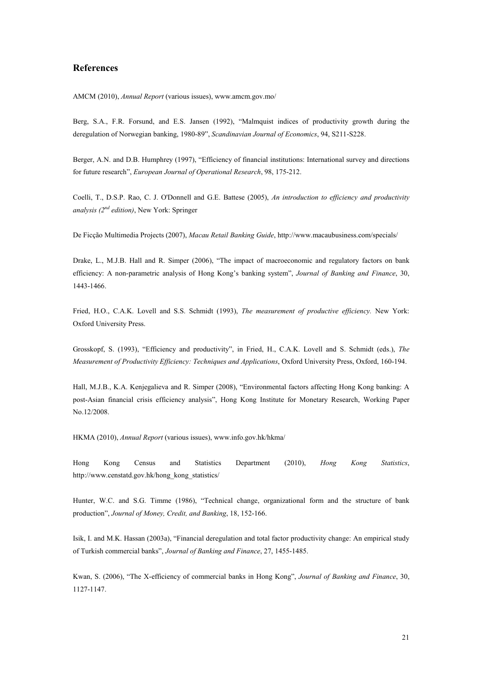#### References

AMCM (2010), Annual Report (various issues), www.amcm.gov.mo/

Berg, S.A., F.R. Forsund, and E.S. Jansen (1992), "Malmquist indices of productivity growth during the deregulation of Norwegian banking, 1980-89", Scandinavian Journal of Economics, 94, S211-S228.

Berger, A.N. and D.B. Humphrey (1997), "Efficiency of financial institutions: International survey and directions for future research", European Journal of Operational Research, 98, 175-212.

Coelli, T., D.S.P. Rao, C. J. O'Donnell and G.E. Battese (2005), An introduction to efficiency and productivity analysis ( $2^{nd}$  edition), New York: Springer

De Ficção Multimedia Projects (2007), Macau Retail Banking Guide, http://www.macaubusiness.com/specials/

Drake, L., M.J.B. Hall and R. Simper (2006), "The impact of macroeconomic and regulatory factors on bank efficiency: A non-parametric analysis of Hong Kong's banking system", Journal of Banking and Finance, 30, 1443-1466.

Fried, H.O., C.A.K. Lovell and S.S. Schmidt (1993), The measurement of productive efficiency. New York: Oxford University Press.

Grosskopf, S. (1993), "Efficiency and productivity", in Fried, H., C.A.K. Lovell and S. Schmidt (eds.), The Measurement of Productivity Efficiency: Techniques and Applications, Oxford University Press, Oxford, 160-194.

Hall, M.J.B., K.A. Kenjegalieva and R. Simper (2008), "Environmental factors affecting Hong Kong banking: A post-Asian financial crisis efficiency analysis", Hong Kong Institute for Monetary Research, Working Paper No.12/2008.

HKMA (2010), Annual Report (various issues), www.info.gov.hk/hkma/

Hong Kong Census and Statistics Department (2010), Hong Kong Statistics, http://www.censtatd.gov.hk/hong\_kong\_statistics/

Hunter, W.C. and S.G. Timme (1986), "Technical change, organizational form and the structure of bank production", Journal of Money, Credit, and Banking, 18, 152-166.

Isik, I. and M.K. Hassan (2003a), "Financial deregulation and total factor productivity change: An empirical study of Turkish commercial banks", Journal of Banking and Finance, 27, 1455-1485.

Kwan, S. (2006), "The X-efficiency of commercial banks in Hong Kong", Journal of Banking and Finance, 30, 1127-1147.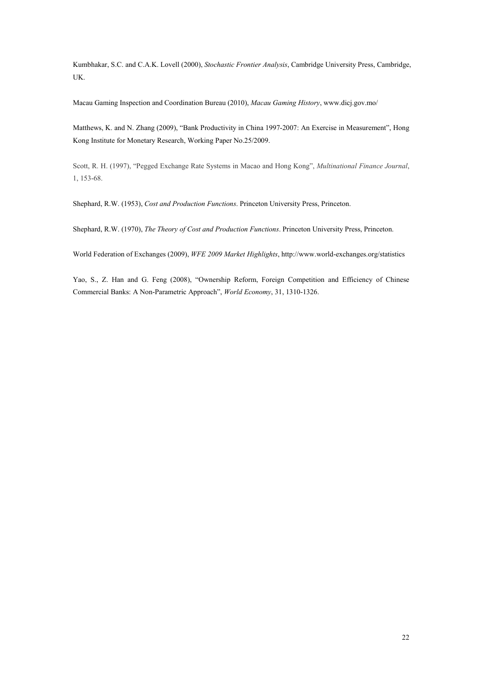Kumbhakar, S.C. and C.A.K. Lovell (2000), Stochastic Frontier Analysis, Cambridge University Press, Cambridge, UK.

Macau Gaming Inspection and Coordination Bureau (2010), Macau Gaming History, www.dicj.gov.mo/

Matthews, K. and N. Zhang (2009), "Bank Productivity in China 1997-2007: An Exercise in Measurement", Hong Kong Institute for Monetary Research, Working Paper No.25/2009.

Scott, R. H. (1997), "Pegged Exchange Rate Systems in Macao and Hong Kong", Multinational Finance Journal, 1, 153-68.

Shephard, R.W. (1953), Cost and Production Functions. Princeton University Press, Princeton.

Shephard, R.W. (1970), The Theory of Cost and Production Functions. Princeton University Press, Princeton.

World Federation of Exchanges (2009), WFE 2009 Market Highlights, http://www.world-exchanges.org/statistics

Yao, S., Z. Han and G. Feng (2008), "Ownership Reform, Foreign Competition and Efficiency of Chinese Commercial Banks: A Non-Parametric Approach", World Economy, 31, 1310-1326.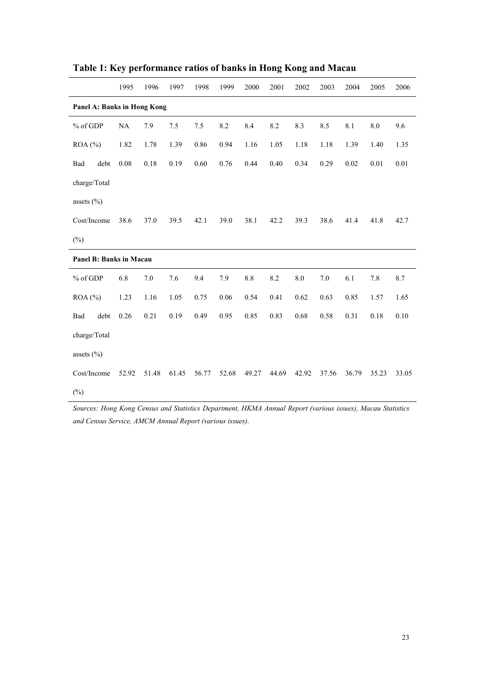|                             | 1995     | 1996  | 1997  | 1998  | 1999  | 2000  | 2001  | 2002    | 2003  | 2004  | 2005      | 2006     |
|-----------------------------|----------|-------|-------|-------|-------|-------|-------|---------|-------|-------|-----------|----------|
| Panel A: Banks in Hong Kong |          |       |       |       |       |       |       |         |       |       |           |          |
| % of GDP                    | $\rm NA$ | 7.9   | $7.5$ | 7.5   | 8.2   | 8.4   | 8.2   | 8.3     | 8.5   | 8.1   | $\ \ 8.0$ | 9.6      |
| ROA (%)                     | 1.82     | 1.78  | 1.39  | 0.86  | 0.94  | 1.16  | 1.05  | 1.18    | 1.18  | 1.39  | 1.40      | 1.35     |
| debt<br>Bad                 | 0.08     | 0.18  | 0.19  | 0.60  | 0.76  | 0.44  | 0.40  | 0.34    | 0.29  | 0.02  | $0.01\,$  | $0.01\,$ |
| charge/Total                |          |       |       |       |       |       |       |         |       |       |           |          |
| assets $(\% )$              |          |       |       |       |       |       |       |         |       |       |           |          |
| Cost/Income                 | 38.6     | 37.0  | 39.5  | 42.1  | 39.0  | 38.1  | 42.2  | 39.3    | 38.6  | 41.4  | 41.8      | 42.7     |
| $(\%)$                      |          |       |       |       |       |       |       |         |       |       |           |          |
| Panel B: Banks in Macau     |          |       |       |       |       |       |       |         |       |       |           |          |
| % of GDP                    | 6.8      | 7.0   | 7.6   | 9.4   | 7.9   | 8.8   | 8.2   | $8.0\,$ | 7.0   | 6.1   | 7.8       | 8.7      |
| ROA (%)                     | 1.23     | 1.16  | 1.05  | 0.75  | 0.06  | 0.54  | 0.41  | 0.62    | 0.63  | 0.85  | 1.57      | 1.65     |
| Bad<br>debt                 | 0.26     | 0.21  | 0.19  | 0.49  | 0.95  | 0.85  | 0.83  | 0.68    | 0.58  | 0.31  | 0.18      | $0.10\,$ |
| charge/Total                |          |       |       |       |       |       |       |         |       |       |           |          |
| assets $(\% )$              |          |       |       |       |       |       |       |         |       |       |           |          |
| Cost/Income                 | 52.92    | 51.48 | 61.45 | 56.77 | 52.68 | 49.27 | 44.69 | 42.92   | 37.56 | 36.79 | 35.23     | 33.05    |
| $(\%)$                      |          |       |       |       |       |       |       |         |       |       |           |          |

Table 1: Key performance ratios of banks in Hong Kong and Macau

Sources: Hong Kong Census and Statistics Department, HKMA Annual Report (various issues), Macau Statistics and Census Service, AMCM Annual Report (various issues).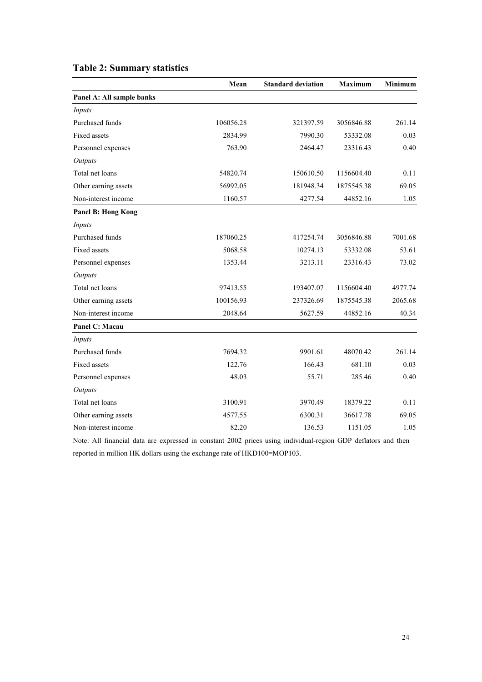|                           | Mean      | <b>Standard deviation</b> | <b>Maximum</b> | Minimum |
|---------------------------|-----------|---------------------------|----------------|---------|
| Panel A: All sample banks |           |                           |                |         |
| Inputs                    |           |                           |                |         |
| Purchased funds           | 106056.28 | 321397.59                 | 3056846.88     | 261.14  |
| <b>Fixed assets</b>       | 2834.99   | 7990.30                   | 53332.08       | 0.03    |
| Personnel expenses        | 763.90    | 2464.47                   | 23316.43       | 0.40    |
| Outputs                   |           |                           |                |         |
| Total net loans           | 54820.74  | 150610.50                 | 1156604.40     | 0.11    |
| Other earning assets      | 56992.05  | 181948.34                 | 1875545.38     | 69.05   |
| Non-interest income       | 1160.57   | 4277.54                   | 44852.16       | 1.05    |
| <b>Panel B: Hong Kong</b> |           |                           |                |         |
| Inputs                    |           |                           |                |         |
| Purchased funds           | 187060.25 | 417254.74                 | 3056846.88     | 7001.68 |
| <b>Fixed assets</b>       | 5068.58   | 10274.13                  | 53332.08       | 53.61   |
| Personnel expenses        | 1353.44   | 3213.11                   | 23316.43       | 73.02   |
| Outputs                   |           |                           |                |         |
| Total net loans           | 97413.55  | 193407.07                 | 1156604.40     | 4977.74 |
| Other earning assets      | 100156.93 | 237326.69                 | 1875545.38     | 2065.68 |
| Non-interest income       | 2048.64   | 5627.59                   | 44852.16       | 40.34   |
| Panel C: Macau            |           |                           |                |         |
| Inputs                    |           |                           |                |         |
| Purchased funds           | 7694.32   | 9901.61                   | 48070.42       | 261.14  |
| <b>Fixed assets</b>       | 122.76    | 166.43                    | 681.10         | 0.03    |
| Personnel expenses        | 48.03     | 55.71                     | 285.46         | 0.40    |
| <b>Outputs</b>            |           |                           |                |         |
| Total net loans           | 3100.91   | 3970.49                   | 18379.22       | 0.11    |
| Other earning assets      | 4577.55   | 6300.31                   | 36617.78       | 69.05   |
| Non-interest income       | 82.20     | 136.53                    | 1151.05        | 1.05    |

# Table 2: Summary statistics

Note: All financial data are expressed in constant 2002 prices using individual-region GDP deflators and then reported in million HK dollars using the exchange rate of HKD100=MOP103.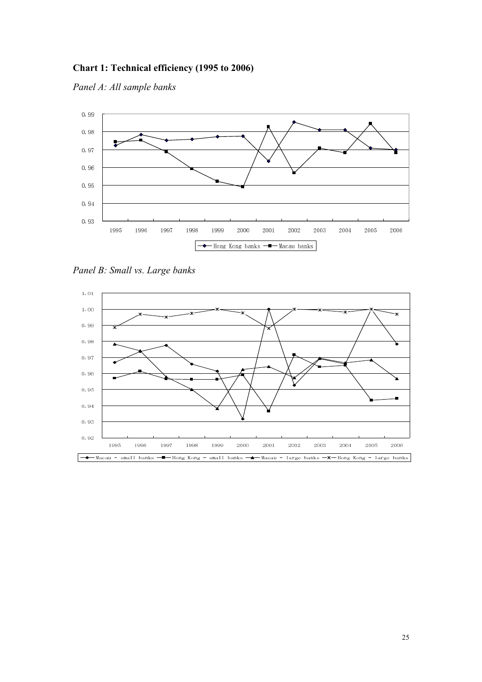# Chart 1: Technical efficiency (1995 to 2006)

Panel A: All sample banks



Panel B: Small vs. Large banks

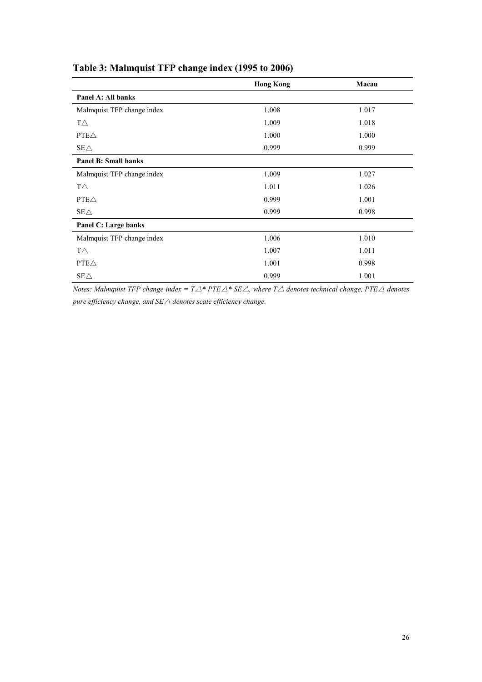|                             | <b>Hong Kong</b> | Macau |
|-----------------------------|------------------|-------|
| Panel A: All banks          |                  |       |
| Malmquist TFP change index  | 1.008            | 1.017 |
| $T\triangle$                | 1.009            | 1.018 |
| $PTE\triangle$              | 1.000            | 1.000 |
| $SE\triangle$               | 0.999            | 0.999 |
| <b>Panel B: Small banks</b> |                  |       |
| Malmquist TFP change index  | 1.009            | 1.027 |
| $T\triangle$                | 1.011            | 1.026 |
| $PTE\triangle$              | 0.999            | 1.001 |
| $SE\triangle$               | 0.999            | 0.998 |
| Panel C: Large banks        |                  |       |
| Malmquist TFP change index  | 1.006            | 1.010 |
| $T\triangle$                | 1.007            | 1.011 |
| $PTE\triangle$              | 1.001            | 0.998 |
| $SE\triangle$               | 0.999            | 1.001 |

# Table 3: Malmquist TFP change index (1995 to 2006)

Notes: Malmquist TFP change index =  $T\Delta$ \* PTE $\Delta$ \* SE $\Delta$ , where  $T\Delta$  denotes technical change, PTE $\Delta$  denotes pure efficiency change, and  $SE\triangle$  denotes scale efficiency change.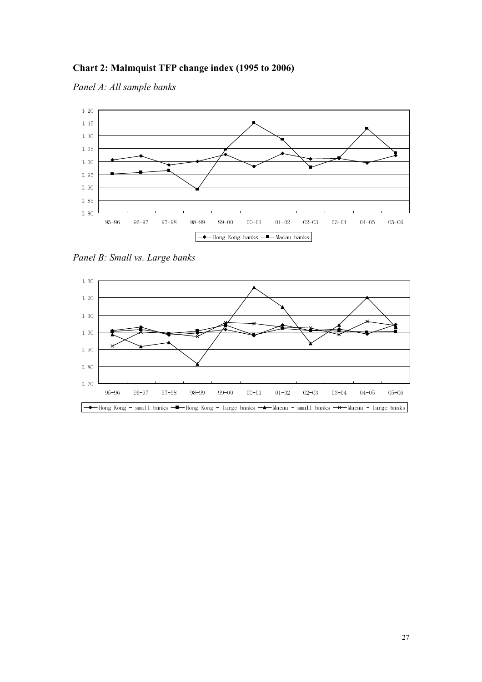# Chart 2: Malmquist TFP change index (1995 to 2006)

Panel A: All sample banks



Panel B: Small vs. Large banks